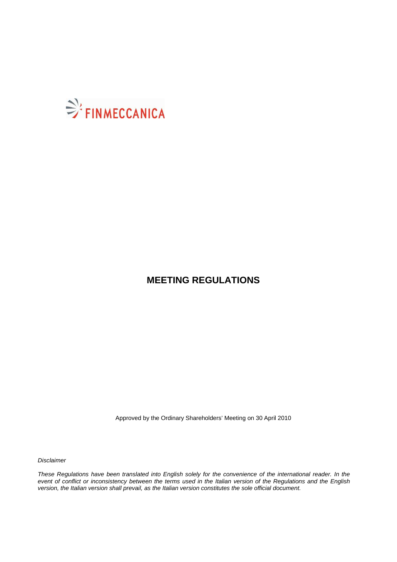

# **MEETING REGULATIONS**

Approved by the Ordinary Shareholders' Meeting on 30 April 2010

Disclaimer

These Regulations have been translated into English solely for the convenience of the international reader. In the event of conflict or inconsistency between the terms used in the Italian version of the Regulations and the English version, the Italian version shall prevail, as the Italian version constitutes the sole official document.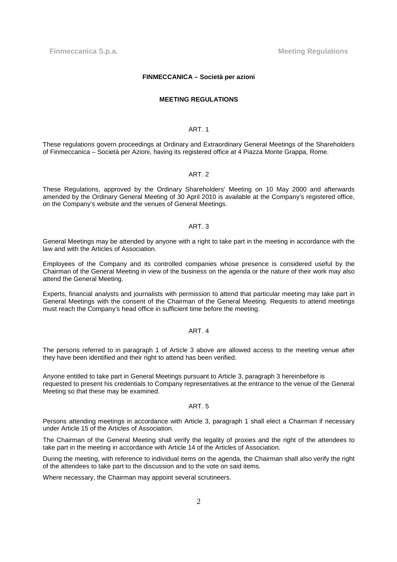**Finmeccanica S.p.a.** Meeting Regulations **Meeting Regulations** 

#### **FINMECCANICA – Società per azioni**

#### **MEETING REGULATIONS**

## ART. 1

These regulations govern proceedings at Ordinary and Extraordinary General Meetings of the Shareholders of Finmeccanica – Società per Azioni, having its registered office at 4 Piazza Monte Grappa, Rome.

#### ART. 2

These Regulations, approved by the Ordinary Shareholders' Meeting on 10 May 2000 and afterwards amended by the Ordinary General Meeting of 30 April 2010 is available at the Company's registered office, on the Company's website and the venues of General Meetings.

#### ART. 3

General Meetings may be attended by anyone with a right to take part in the meeting in accordance with the law and with the Articles of Association.

Employees of the Company and its controlled companies whose presence is considered useful by the Chairman of the General Meeting in view of the business on the agenda or the nature of their work may also attend the General Meeting.

Experts, financial analysts and journalists with permission to attend that particular meeting may take part in General Meetings with the consent of the Chairman of the General Meeting. Requests to attend meetings must reach the Company's head office in sufficient time before the meeting.

## ART. 4

The persons referred to in paragraph 1 of Article 3 above are allowed access to the meeting venue after they have been identified and their right to attend has been verified.

Anyone entitled to take part in General Meetings pursuant to Article 3, paragraph 3 hereinbefore is requested to present his credentials to Company representatives at the entrance to the venue of the General Meeting so that these may be examined.

# ART. 5

Persons attending meetings in accordance with Article 3, paragraph 1 shall elect a Chairman if necessary under Article 15 of the Articles of Association.

The Chairman of the General Meeting shall verify the legality of proxies and the right of the attendees to take part in the meeting in accordance with Article 14 of the Articles of Association.

During the meeting, with reference to individual items on the agenda, the Chairman shall also verify the right of the attendees to take part to the discussion and to the vote on said items.

Where necessary, the Chairman may appoint several scrutineers.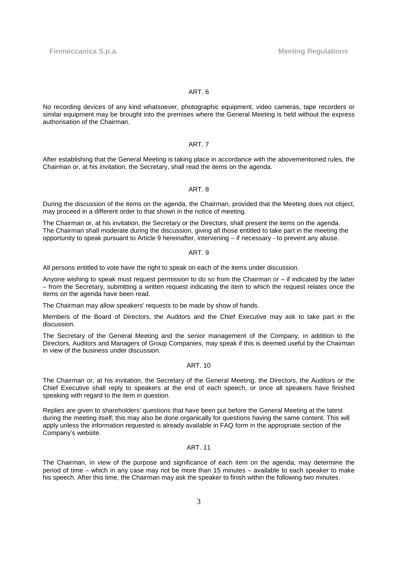**Finmeccanica S.p.a.** Meeting Regulations

## ART. 6

No recording devices of any kind whatsoever, photographic equipment, video cameras, tape recorders or similar equipment may be brought into the premises where the General Meeting is held without the express authorisation of the Chairman.

## ART. 7

After establishing that the General Meeting is taking place in accordance with the abovementioned rules, the Chairman or, at his invitation, the Secretary, shall read the items on the agenda.

## ART. 8

During the discussion of the items on the agenda, the Chairman, provided that the Meeting does not object, may proceed in a different order to that shown in the notice of meeting.

The Chairman or, at his invitation, the Secretary or the Directors, shall present the items on the agenda. The Chairman shall moderate during the discussion, giving all those entitled to take part in the meeting the opportunity to speak pursuant to Article 9 hereinafter, intervening – if necessary - to prevent any abuse.

## ART. 9

All persons entitled to vote have the right to speak on each of the items under discussion.

Anyone wishing to speak must request permission to do so from the Chairman or – if indicated by the latter – from the Secretary, submitting a written request indicating the item to which the request relates once the items on the agenda have been read.

The Chairman may allow speakers' requests to be made by show of hands.

Members of the Board of Directors, the Auditors and the Chief Executive may ask to take part in the discussion.

The Secretary of the General Meeting and the senior management of the Company, in addition to the Directors, Auditors and Managers of Group Companies, may speak if this is deemed useful by the Chairman in view of the business under discussion.

# ART. 10

The Chairman or, at his invitation, the Secretary of the General Meeting, the Directors, the Auditors or the Chief Executive shall reply to speakers at the end of each speech, or once all speakers have finished speaking with regard to the item in question.

Replies are given to shareholders' questions that have been put before the General Meeting at the latest during the meeting itself; this may also be done organically for questions having the same content. This will apply unless the information requested is already available in FAQ form in the appropriate section of the Company's website.

## ART. 11

The Chairman, in view of the purpose and significance of each item on the agenda, may determine the period of time – which in any case may not be more than 15 minutes – available to each speaker to make his speech. After this time, the Chairman may ask the speaker to finish within the following two minutes.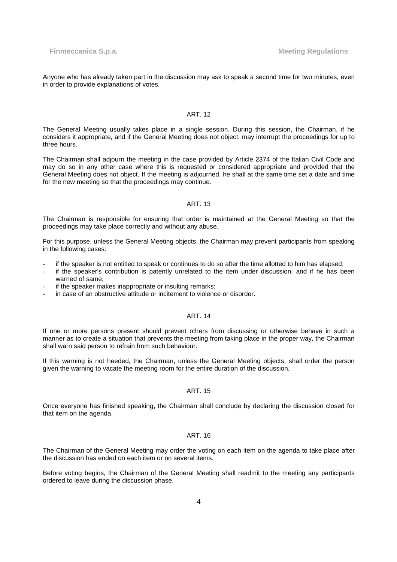Anyone who has already taken part in the discussion may ask to speak a second time for two minutes, even in order to provide explanations of votes.

## ART. 12

The General Meeting usually takes place in a single session. During this session, the Chairman, if he considers it appropriate, and if the General Meeting does not object, may interrupt the proceedings for up to three hours.

The Chairman shall adjourn the meeting in the case provided by Article 2374 of the Italian Civil Code and may do so in any other case where this is requested or considered appropriate and provided that the General Meeting does not object. If the meeting is adjourned, he shall at the same time set a date and time for the new meeting so that the proceedings may continue.

#### ART. 13

The Chairman is responsible for ensuring that order is maintained at the General Meeting so that the proceedings may take place correctly and without any abuse.

For this purpose, unless the General Meeting objects, the Chairman may prevent participants from speaking in the following cases:

- if the speaker is not entitled to speak or continues to do so after the time allotted to him has elapsed;
- if the speaker's contribution is patently unrelated to the item under discussion, and if he has been warned of same;
- if the speaker makes inappropriate or insulting remarks;
- in case of an obstructive attitude or incitement to violence or disorder.

# ART. 14

If one or more persons present should prevent others from discussing or otherwise behave in such a manner as to create a situation that prevents the meeting from taking place in the proper way, the Chairman shall warn said person to refrain from such behaviour.

If this warning is not heeded, the Chairman, unless the General Meeting objects, shall order the person given the warning to vacate the meeting room for the entire duration of the discussion.

## ART. 15

Once everyone has finished speaking, the Chairman shall conclude by declaring the discussion closed for that item on the agenda.

#### ART. 16

The Chairman of the General Meeting may order the voting on each item on the agenda to take place after the discussion has ended on each item or on several items.

Before voting begins, the Chairman of the General Meeting shall readmit to the meeting any participants ordered to leave during the discussion phase.